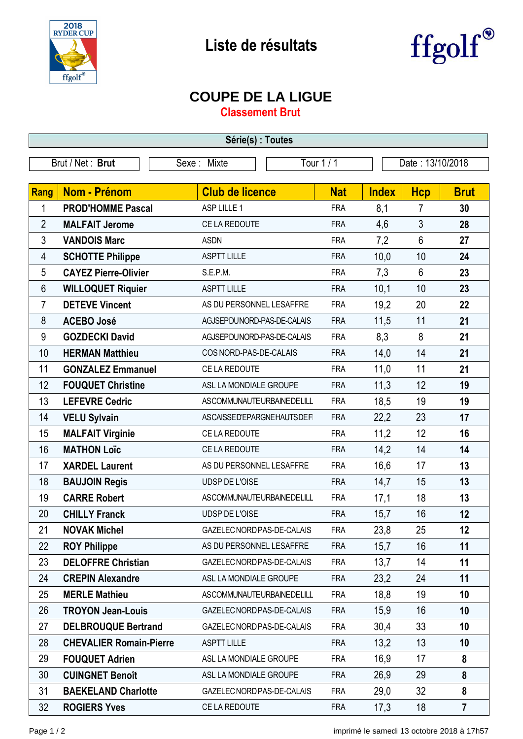



## **COUPE DE LA LIGUE**

**Classement Brut**

| Série(s) : Toutes |                                |                            |            |              |                  |                |  |  |  |
|-------------------|--------------------------------|----------------------------|------------|--------------|------------------|----------------|--|--|--|
| Brut / Net: Brut  |                                | Tour 1 / 1<br>Sexe: Mixte  |            |              | Date: 13/10/2018 |                |  |  |  |
|                   |                                |                            |            |              |                  |                |  |  |  |
| <b>Rang</b>       | <b>Nom - Prénom</b>            | <b>Club de licence</b>     | <b>Nat</b> | <b>Index</b> | <b>Hcp</b>       | <b>Brut</b>    |  |  |  |
| 1                 | <b>PROD'HOMME Pascal</b>       | ASP LILLE 1                | <b>FRA</b> | 8,1          | 7                | 30             |  |  |  |
| $\overline{2}$    | <b>MALFAIT Jerome</b>          | CE LA REDOUTE              | <b>FRA</b> | 4,6          | $\mathfrak{Z}$   | 28             |  |  |  |
| 3                 | <b>VANDOIS Marc</b>            | <b>ASDN</b>                | <b>FRA</b> | 7,2          | $6\phantom{1}$   | 27             |  |  |  |
| 4                 | <b>SCHOTTE Philippe</b>        | <b>ASPTT LILLE</b>         | <b>FRA</b> | 10,0         | 10               | 24             |  |  |  |
| 5                 | <b>CAYEZ Pierre-Olivier</b>    | S.E.P.M.                   | <b>FRA</b> | 7,3          | $6\phantom{1}$   | 23             |  |  |  |
| $6\phantom{1}6$   | <b>WILLOQUET Riquier</b>       | <b>ASPTT LILLE</b>         | <b>FRA</b> | 10,1         | 10               | 23             |  |  |  |
| $\overline{7}$    | <b>DETEVE Vincent</b>          | AS DU PERSONNEL LESAFFRE   | <b>FRA</b> | 19,2         | 20               | 22             |  |  |  |
| 8                 | <b>ACEBO José</b>              | AGJSEPDUNORD-PAS-DE-CALAIS | <b>FRA</b> | 11,5         | 11               | 21             |  |  |  |
| $9\,$             | <b>GOZDECKI David</b>          | AGJSEPDUNORD-PAS-DE-CALAIS | <b>FRA</b> | 8,3          | 8                | 21             |  |  |  |
| 10                | <b>HERMAN Matthieu</b>         | COS NORD-PAS-DE-CALAIS     | <b>FRA</b> | 14,0         | 14               | 21             |  |  |  |
| 11                | <b>GONZALEZ Emmanuel</b>       | CE LA REDOUTE              | <b>FRA</b> | 11,0         | 11               | 21             |  |  |  |
| 12                | <b>FOUQUET Christine</b>       | ASL LA MONDIALE GROUPE     | <b>FRA</b> | 11,3         | 12               | 19             |  |  |  |
| 13                | <b>LEFEVRE Cedric</b>          | ASCOMMUNAUTEURBAINEDELILL  | <b>FRA</b> | 18,5         | 19               | 19             |  |  |  |
| 14                | <b>VELU Sylvain</b>            | ASCAISSED'EPARGNEHAUTSDEFI | <b>FRA</b> | 22,2         | 23               | 17             |  |  |  |
| 15                | <b>MALFAIT Virginie</b>        | CE LA REDOUTE              | <b>FRA</b> | 11,2         | 12               | 16             |  |  |  |
| 16                | <b>MATHON Loïc</b>             | CE LA REDOUTE              | <b>FRA</b> | 14,2         | 14               | 14             |  |  |  |
| 17                | <b>XARDEL Laurent</b>          | AS DU PERSONNEL LESAFFRE   | <b>FRA</b> | 16,6         | 17               | 13             |  |  |  |
| 18                | <b>BAUJOIN Regis</b>           | UDSP DE L'OISE             | <b>FRA</b> | 14,7         | 15               | 13             |  |  |  |
| 19                | <b>CARRE Robert</b>            | ASCOMMUNAUTEURBAINEDELILL  | <b>FRA</b> | 17,1         | 18               | 13             |  |  |  |
| 20                | <b>CHILLY Franck</b>           | UDSP DE L'OISE             | <b>FRA</b> | 15,7         | 16               | 12             |  |  |  |
| 21                | <b>NOVAK Michel</b>            | GAZELEC NORD PAS-DE-CALAIS | <b>FRA</b> | 23,8         | 25               | 12             |  |  |  |
| 22                | <b>ROY Philippe</b>            | AS DU PERSONNEL LESAFFRE   | <b>FRA</b> | 15,7         | 16               | 11             |  |  |  |
| 23                | <b>DELOFFRE Christian</b>      | GAZELEC NORD PAS-DE-CALAIS | <b>FRA</b> | 13,7         | 14               | 11             |  |  |  |
| 24                | <b>CREPIN Alexandre</b>        | ASL LA MONDIALE GROUPE     | <b>FRA</b> | 23,2         | 24               | 11             |  |  |  |
| 25                | <b>MERLE Mathieu</b>           | ASCOMMUNAUTEURBAINEDELILL  | <b>FRA</b> | 18,8         | 19               | 10             |  |  |  |
| 26                | <b>TROYON Jean-Louis</b>       | GAZELEC NORD PAS-DE-CALAIS | <b>FRA</b> | 15,9         | 16               | 10             |  |  |  |
| 27                | <b>DELBROUQUE Bertrand</b>     | GAZELEC NORD PAS-DE-CALAIS | <b>FRA</b> | 30,4         | 33               | 10             |  |  |  |
| 28                | <b>CHEVALIER Romain-Pierre</b> | <b>ASPTT LILLE</b>         | <b>FRA</b> | 13,2         | 13               | 10             |  |  |  |
| 29                | <b>FOUQUET Adrien</b>          | ASL LA MONDIALE GROUPE     | <b>FRA</b> | 16,9         | 17               | 8              |  |  |  |
| 30                | <b>CUINGNET Benoît</b>         | ASL LA MONDIALE GROUPE     | <b>FRA</b> | 26,9         | 29               | 8              |  |  |  |
| 31                | <b>BAEKELAND Charlotte</b>     | GAZELEC NORD PAS-DE-CALAIS | <b>FRA</b> | 29,0         | 32               | 8              |  |  |  |
| 32                | <b>ROGIERS Yves</b>            | CE LA REDOUTE              | <b>FRA</b> | 17,3         | 18               | $\overline{7}$ |  |  |  |